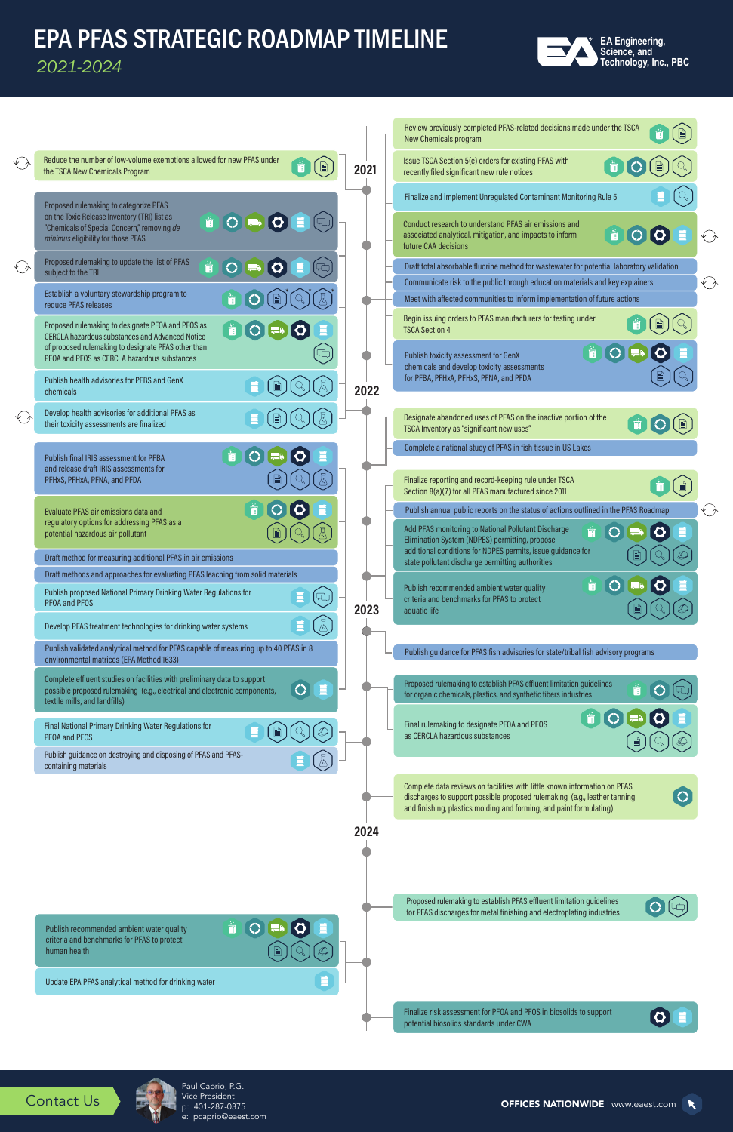

## EPA PFAS STRATEGIC ROADMAP TIMELINE

*2021-2024*

| Reduce the number of low-volume exemptions allowed for new PFAS under<br>Issue TSCA Section 5(e) orders for existing PFAS with<br>Ť<br>Ť<br>. E<br>2021<br>the TSCA New Chemicals Program<br>recently filed significant new rule notices<br>Finalize and implement Unregulated Contaminant Monitoring Rule 5<br>Proposed rulemaking to categorize PFAS<br>on the Toxic Release Inventory (TRI) list as<br>SCRSO<br>價<br>Conduct research to understand PFAS air emissions and<br>"Chemicals of Special Concern," removing de<br>Ť<br>10<br>$\boldsymbol{\Omega}$<br>associated analytical, mitigation, and impacts to inform<br>minimus eligibility for those PFAS<br>future CAA decisions<br>Proposed rulemaking to update the list of PFAS<br>Ť<br>$\bigcirc$<br>Draft total absorbable fluorine method for wastewater for potential laboratory validation<br>subject to the TRI<br>Communicate risk to the public through education materials and key explainers<br>Establish a voluntary stewardship program to<br>Ť<br>Meet with affected communities to inform implementation of future actions<br>reduce PFAS releases<br>Begin issuing orders to PFAS manufacturers for testing under<br>Proposed rulemaking to designate PFOA and PFOS as<br>i O<br>$\left( 5\right)$<br><b>TSCA Section 4</b><br><b>CERCLA hazardous substances and Advanced Notice</b><br>of proposed rulemaking to designate PFAS other than<br>Ť<br>$\blacksquare$<br>Publish toxicity assessment for GenX<br>PFOA and PFOS as CERCLA hazardous substances<br>chemicals and develop toxicity assessments<br>for PFBA, PFHxA, PFHxS, PFNA, and PFDA<br>Publish health advisories for PFBS and GenX<br>2022<br>chemicals<br>Develop health advisories for additional PFAS as<br>Designate abandoned uses of PFAS on the inactive portion of the<br>their toxicity assessments are finalized<br>TSCA Inventory as "significant new uses"<br>Complete a national study of PFAS in fish tissue in US Lakes<br>i)<br>$\bigcirc$<br>$\bullet$<br>Publish final IRIS assessment for PFBA<br>and release draft IRIS assessments for<br>Finalize reporting and record-keeping rule under TSCA<br>PFHxS, PFHxA, PFNA, and PFDA<br>İ<br>IE<br>Section 8(a)(7) for all PFAS manufactured since 2011<br>Publish annual public reports on the status of actions outlined in the PFAS Roadmap<br>Evaluate PFAS air emissions data and<br>regulatory options for addressing PFAS as a<br>Add PFAS monitoring to National Pollutant Discharge<br>$\sigma$<br>potential hazardous air pollutant<br>Elimination System (NDPES) permitting, propose<br>additional conditions for NDPES permits, issue guidance for<br>Draft method for measuring additional PFAS in air emissions<br>state pollutant discharge permitting authorities<br>Draft methods and approaches for evaluating PFAS leaching from solid materials<br>İ<br>Publish recommended ambient water quality<br>Publish proposed National Primary Drinking Water Regulations for<br>criteria and benchmarks for PFAS to protect<br>PFOA and PFOS<br>2023<br>aquatic life<br>Develop PFAS treatment technologies for drinking water systems<br>Publish validated analytical method for PFAS capable of measuring up to 40 PFAS in 8<br>Publish guidance for PFAS fish advisories for state/tribal fish advisory programs<br>environmental matrices (EPA Method 1633)<br>Complete effluent studies on facilities with preliminary data to support<br>Proposed rulemaking to establish PFAS effluent limitation guidelines<br>E<br>possible proposed rulemaking (e.g., electrical and electronic components,<br>for organic chemicals, plastics, and synthetic fibers industries<br>textile mills, and landfills)<br>ä I<br>Final rulemaking to designate PF0A and PF0S<br>Final National Primary Drinking Water Regulations for<br>as CERCLA hazardous substances<br>PFOA and PFOS<br>Publish guidance on destroying and disposing of PFAS and PFAS-<br>containing materials<br>Complete data reviews on facilities with little known information on PFAS<br>discharges to support possible proposed rulemaking (e.g., leather tanning<br>and finishing, plastics molding and forming, and paint formulating) |                             |  | Review previously completed PFAS-related decisions made under the TSCA<br>New Chemicals program |            |
|----------------------------------------------------------------------------------------------------------------------------------------------------------------------------------------------------------------------------------------------------------------------------------------------------------------------------------------------------------------------------------------------------------------------------------------------------------------------------------------------------------------------------------------------------------------------------------------------------------------------------------------------------------------------------------------------------------------------------------------------------------------------------------------------------------------------------------------------------------------------------------------------------------------------------------------------------------------------------------------------------------------------------------------------------------------------------------------------------------------------------------------------------------------------------------------------------------------------------------------------------------------------------------------------------------------------------------------------------------------------------------------------------------------------------------------------------------------------------------------------------------------------------------------------------------------------------------------------------------------------------------------------------------------------------------------------------------------------------------------------------------------------------------------------------------------------------------------------------------------------------------------------------------------------------------------------------------------------------------------------------------------------------------------------------------------------------------------------------------------------------------------------------------------------------------------------------------------------------------------------------------------------------------------------------------------------------------------------------------------------------------------------------------------------------------------------------------------------------------------------------------------------------------------------------------------------------------------------------------------------------------------------------------------------------------------------------------------------------------------------------------------------------------------------------------------------------------------------------------------------------------------------------------------------------------------------------------------------------------------------------------------------------------------------------------------------------------------------------------------------------------------------------------------------------------------------------------------------------------------------------------------------------------------------------------------------------------------------------------------------------------------------------------------------------------------------------------------------------------------------------------------------------------------------------------------------------------------------------------------------------------------------------------------------------------------------------------------------------------------------------------------------------------------------------------------------------------------------------------------------------------------------------------------------------------------------------------------------------------------------------------------------------------------------------------------------------------------------------------------------------------------------------------------------------------------------------------------------------------|-----------------------------|--|-------------------------------------------------------------------------------------------------|------------|
| ♦<br>$\bigodot$                                                                                                                                                                                                                                                                                                                                                                                                                                                                                                                                                                                                                                                                                                                                                                                                                                                                                                                                                                                                                                                                                                                                                                                                                                                                                                                                                                                                                                                                                                                                                                                                                                                                                                                                                                                                                                                                                                                                                                                                                                                                                                                                                                                                                                                                                                                                                                                                                                                                                                                                                                                                                                                                                                                                                                                                                                                                                                                                                                                                                                                                                                                                                                                                                                                                                                                                                                                                                                                                                                                                                                                                                                                                                                                                                                                                                                                                                                                                                                                                                                                                                                                                                                                                                  | $\mathcal{L}_{\mathcal{F}}$ |  |                                                                                                 |            |
|                                                                                                                                                                                                                                                                                                                                                                                                                                                                                                                                                                                                                                                                                                                                                                                                                                                                                                                                                                                                                                                                                                                                                                                                                                                                                                                                                                                                                                                                                                                                                                                                                                                                                                                                                                                                                                                                                                                                                                                                                                                                                                                                                                                                                                                                                                                                                                                                                                                                                                                                                                                                                                                                                                                                                                                                                                                                                                                                                                                                                                                                                                                                                                                                                                                                                                                                                                                                                                                                                                                                                                                                                                                                                                                                                                                                                                                                                                                                                                                                                                                                                                                                                                                                                                  |                             |  |                                                                                                 |            |
|                                                                                                                                                                                                                                                                                                                                                                                                                                                                                                                                                                                                                                                                                                                                                                                                                                                                                                                                                                                                                                                                                                                                                                                                                                                                                                                                                                                                                                                                                                                                                                                                                                                                                                                                                                                                                                                                                                                                                                                                                                                                                                                                                                                                                                                                                                                                                                                                                                                                                                                                                                                                                                                                                                                                                                                                                                                                                                                                                                                                                                                                                                                                                                                                                                                                                                                                                                                                                                                                                                                                                                                                                                                                                                                                                                                                                                                                                                                                                                                                                                                                                                                                                                                                                                  |                             |  |                                                                                                 | そう         |
|                                                                                                                                                                                                                                                                                                                                                                                                                                                                                                                                                                                                                                                                                                                                                                                                                                                                                                                                                                                                                                                                                                                                                                                                                                                                                                                                                                                                                                                                                                                                                                                                                                                                                                                                                                                                                                                                                                                                                                                                                                                                                                                                                                                                                                                                                                                                                                                                                                                                                                                                                                                                                                                                                                                                                                                                                                                                                                                                                                                                                                                                                                                                                                                                                                                                                                                                                                                                                                                                                                                                                                                                                                                                                                                                                                                                                                                                                                                                                                                                                                                                                                                                                                                                                                  |                             |  |                                                                                                 |            |
|                                                                                                                                                                                                                                                                                                                                                                                                                                                                                                                                                                                                                                                                                                                                                                                                                                                                                                                                                                                                                                                                                                                                                                                                                                                                                                                                                                                                                                                                                                                                                                                                                                                                                                                                                                                                                                                                                                                                                                                                                                                                                                                                                                                                                                                                                                                                                                                                                                                                                                                                                                                                                                                                                                                                                                                                                                                                                                                                                                                                                                                                                                                                                                                                                                                                                                                                                                                                                                                                                                                                                                                                                                                                                                                                                                                                                                                                                                                                                                                                                                                                                                                                                                                                                                  |                             |  |                                                                                                 | $\bigodot$ |
|                                                                                                                                                                                                                                                                                                                                                                                                                                                                                                                                                                                                                                                                                                                                                                                                                                                                                                                                                                                                                                                                                                                                                                                                                                                                                                                                                                                                                                                                                                                                                                                                                                                                                                                                                                                                                                                                                                                                                                                                                                                                                                                                                                                                                                                                                                                                                                                                                                                                                                                                                                                                                                                                                                                                                                                                                                                                                                                                                                                                                                                                                                                                                                                                                                                                                                                                                                                                                                                                                                                                                                                                                                                                                                                                                                                                                                                                                                                                                                                                                                                                                                                                                                                                                                  |                             |  |                                                                                                 |            |
|                                                                                                                                                                                                                                                                                                                                                                                                                                                                                                                                                                                                                                                                                                                                                                                                                                                                                                                                                                                                                                                                                                                                                                                                                                                                                                                                                                                                                                                                                                                                                                                                                                                                                                                                                                                                                                                                                                                                                                                                                                                                                                                                                                                                                                                                                                                                                                                                                                                                                                                                                                                                                                                                                                                                                                                                                                                                                                                                                                                                                                                                                                                                                                                                                                                                                                                                                                                                                                                                                                                                                                                                                                                                                                                                                                                                                                                                                                                                                                                                                                                                                                                                                                                                                                  |                             |  |                                                                                                 |            |
|                                                                                                                                                                                                                                                                                                                                                                                                                                                                                                                                                                                                                                                                                                                                                                                                                                                                                                                                                                                                                                                                                                                                                                                                                                                                                                                                                                                                                                                                                                                                                                                                                                                                                                                                                                                                                                                                                                                                                                                                                                                                                                                                                                                                                                                                                                                                                                                                                                                                                                                                                                                                                                                                                                                                                                                                                                                                                                                                                                                                                                                                                                                                                                                                                                                                                                                                                                                                                                                                                                                                                                                                                                                                                                                                                                                                                                                                                                                                                                                                                                                                                                                                                                                                                                  |                             |  |                                                                                                 |            |
|                                                                                                                                                                                                                                                                                                                                                                                                                                                                                                                                                                                                                                                                                                                                                                                                                                                                                                                                                                                                                                                                                                                                                                                                                                                                                                                                                                                                                                                                                                                                                                                                                                                                                                                                                                                                                                                                                                                                                                                                                                                                                                                                                                                                                                                                                                                                                                                                                                                                                                                                                                                                                                                                                                                                                                                                                                                                                                                                                                                                                                                                                                                                                                                                                                                                                                                                                                                                                                                                                                                                                                                                                                                                                                                                                                                                                                                                                                                                                                                                                                                                                                                                                                                                                                  |                             |  |                                                                                                 |            |
|                                                                                                                                                                                                                                                                                                                                                                                                                                                                                                                                                                                                                                                                                                                                                                                                                                                                                                                                                                                                                                                                                                                                                                                                                                                                                                                                                                                                                                                                                                                                                                                                                                                                                                                                                                                                                                                                                                                                                                                                                                                                                                                                                                                                                                                                                                                                                                                                                                                                                                                                                                                                                                                                                                                                                                                                                                                                                                                                                                                                                                                                                                                                                                                                                                                                                                                                                                                                                                                                                                                                                                                                                                                                                                                                                                                                                                                                                                                                                                                                                                                                                                                                                                                                                                  |                             |  |                                                                                                 |            |
|                                                                                                                                                                                                                                                                                                                                                                                                                                                                                                                                                                                                                                                                                                                                                                                                                                                                                                                                                                                                                                                                                                                                                                                                                                                                                                                                                                                                                                                                                                                                                                                                                                                                                                                                                                                                                                                                                                                                                                                                                                                                                                                                                                                                                                                                                                                                                                                                                                                                                                                                                                                                                                                                                                                                                                                                                                                                                                                                                                                                                                                                                                                                                                                                                                                                                                                                                                                                                                                                                                                                                                                                                                                                                                                                                                                                                                                                                                                                                                                                                                                                                                                                                                                                                                  |                             |  |                                                                                                 |            |
|                                                                                                                                                                                                                                                                                                                                                                                                                                                                                                                                                                                                                                                                                                                                                                                                                                                                                                                                                                                                                                                                                                                                                                                                                                                                                                                                                                                                                                                                                                                                                                                                                                                                                                                                                                                                                                                                                                                                                                                                                                                                                                                                                                                                                                                                                                                                                                                                                                                                                                                                                                                                                                                                                                                                                                                                                                                                                                                                                                                                                                                                                                                                                                                                                                                                                                                                                                                                                                                                                                                                                                                                                                                                                                                                                                                                                                                                                                                                                                                                                                                                                                                                                                                                                                  |                             |  |                                                                                                 |            |
|                                                                                                                                                                                                                                                                                                                                                                                                                                                                                                                                                                                                                                                                                                                                                                                                                                                                                                                                                                                                                                                                                                                                                                                                                                                                                                                                                                                                                                                                                                                                                                                                                                                                                                                                                                                                                                                                                                                                                                                                                                                                                                                                                                                                                                                                                                                                                                                                                                                                                                                                                                                                                                                                                                                                                                                                                                                                                                                                                                                                                                                                                                                                                                                                                                                                                                                                                                                                                                                                                                                                                                                                                                                                                                                                                                                                                                                                                                                                                                                                                                                                                                                                                                                                                                  |                             |  |                                                                                                 | くう         |
|                                                                                                                                                                                                                                                                                                                                                                                                                                                                                                                                                                                                                                                                                                                                                                                                                                                                                                                                                                                                                                                                                                                                                                                                                                                                                                                                                                                                                                                                                                                                                                                                                                                                                                                                                                                                                                                                                                                                                                                                                                                                                                                                                                                                                                                                                                                                                                                                                                                                                                                                                                                                                                                                                                                                                                                                                                                                                                                                                                                                                                                                                                                                                                                                                                                                                                                                                                                                                                                                                                                                                                                                                                                                                                                                                                                                                                                                                                                                                                                                                                                                                                                                                                                                                                  |                             |  |                                                                                                 |            |
|                                                                                                                                                                                                                                                                                                                                                                                                                                                                                                                                                                                                                                                                                                                                                                                                                                                                                                                                                                                                                                                                                                                                                                                                                                                                                                                                                                                                                                                                                                                                                                                                                                                                                                                                                                                                                                                                                                                                                                                                                                                                                                                                                                                                                                                                                                                                                                                                                                                                                                                                                                                                                                                                                                                                                                                                                                                                                                                                                                                                                                                                                                                                                                                                                                                                                                                                                                                                                                                                                                                                                                                                                                                                                                                                                                                                                                                                                                                                                                                                                                                                                                                                                                                                                                  |                             |  |                                                                                                 |            |
|                                                                                                                                                                                                                                                                                                                                                                                                                                                                                                                                                                                                                                                                                                                                                                                                                                                                                                                                                                                                                                                                                                                                                                                                                                                                                                                                                                                                                                                                                                                                                                                                                                                                                                                                                                                                                                                                                                                                                                                                                                                                                                                                                                                                                                                                                                                                                                                                                                                                                                                                                                                                                                                                                                                                                                                                                                                                                                                                                                                                                                                                                                                                                                                                                                                                                                                                                                                                                                                                                                                                                                                                                                                                                                                                                                                                                                                                                                                                                                                                                                                                                                                                                                                                                                  |                             |  |                                                                                                 |            |
|                                                                                                                                                                                                                                                                                                                                                                                                                                                                                                                                                                                                                                                                                                                                                                                                                                                                                                                                                                                                                                                                                                                                                                                                                                                                                                                                                                                                                                                                                                                                                                                                                                                                                                                                                                                                                                                                                                                                                                                                                                                                                                                                                                                                                                                                                                                                                                                                                                                                                                                                                                                                                                                                                                                                                                                                                                                                                                                                                                                                                                                                                                                                                                                                                                                                                                                                                                                                                                                                                                                                                                                                                                                                                                                                                                                                                                                                                                                                                                                                                                                                                                                                                                                                                                  |                             |  |                                                                                                 |            |
|                                                                                                                                                                                                                                                                                                                                                                                                                                                                                                                                                                                                                                                                                                                                                                                                                                                                                                                                                                                                                                                                                                                                                                                                                                                                                                                                                                                                                                                                                                                                                                                                                                                                                                                                                                                                                                                                                                                                                                                                                                                                                                                                                                                                                                                                                                                                                                                                                                                                                                                                                                                                                                                                                                                                                                                                                                                                                                                                                                                                                                                                                                                                                                                                                                                                                                                                                                                                                                                                                                                                                                                                                                                                                                                                                                                                                                                                                                                                                                                                                                                                                                                                                                                                                                  |                             |  |                                                                                                 |            |
|                                                                                                                                                                                                                                                                                                                                                                                                                                                                                                                                                                                                                                                                                                                                                                                                                                                                                                                                                                                                                                                                                                                                                                                                                                                                                                                                                                                                                                                                                                                                                                                                                                                                                                                                                                                                                                                                                                                                                                                                                                                                                                                                                                                                                                                                                                                                                                                                                                                                                                                                                                                                                                                                                                                                                                                                                                                                                                                                                                                                                                                                                                                                                                                                                                                                                                                                                                                                                                                                                                                                                                                                                                                                                                                                                                                                                                                                                                                                                                                                                                                                                                                                                                                                                                  |                             |  |                                                                                                 |            |
|                                                                                                                                                                                                                                                                                                                                                                                                                                                                                                                                                                                                                                                                                                                                                                                                                                                                                                                                                                                                                                                                                                                                                                                                                                                                                                                                                                                                                                                                                                                                                                                                                                                                                                                                                                                                                                                                                                                                                                                                                                                                                                                                                                                                                                                                                                                                                                                                                                                                                                                                                                                                                                                                                                                                                                                                                                                                                                                                                                                                                                                                                                                                                                                                                                                                                                                                                                                                                                                                                                                                                                                                                                                                                                                                                                                                                                                                                                                                                                                                                                                                                                                                                                                                                                  |                             |  |                                                                                                 |            |
|                                                                                                                                                                                                                                                                                                                                                                                                                                                                                                                                                                                                                                                                                                                                                                                                                                                                                                                                                                                                                                                                                                                                                                                                                                                                                                                                                                                                                                                                                                                                                                                                                                                                                                                                                                                                                                                                                                                                                                                                                                                                                                                                                                                                                                                                                                                                                                                                                                                                                                                                                                                                                                                                                                                                                                                                                                                                                                                                                                                                                                                                                                                                                                                                                                                                                                                                                                                                                                                                                                                                                                                                                                                                                                                                                                                                                                                                                                                                                                                                                                                                                                                                                                                                                                  |                             |  |                                                                                                 |            |
|                                                                                                                                                                                                                                                                                                                                                                                                                                                                                                                                                                                                                                                                                                                                                                                                                                                                                                                                                                                                                                                                                                                                                                                                                                                                                                                                                                                                                                                                                                                                                                                                                                                                                                                                                                                                                                                                                                                                                                                                                                                                                                                                                                                                                                                                                                                                                                                                                                                                                                                                                                                                                                                                                                                                                                                                                                                                                                                                                                                                                                                                                                                                                                                                                                                                                                                                                                                                                                                                                                                                                                                                                                                                                                                                                                                                                                                                                                                                                                                                                                                                                                                                                                                                                                  |                             |  |                                                                                                 |            |
|                                                                                                                                                                                                                                                                                                                                                                                                                                                                                                                                                                                                                                                                                                                                                                                                                                                                                                                                                                                                                                                                                                                                                                                                                                                                                                                                                                                                                                                                                                                                                                                                                                                                                                                                                                                                                                                                                                                                                                                                                                                                                                                                                                                                                                                                                                                                                                                                                                                                                                                                                                                                                                                                                                                                                                                                                                                                                                                                                                                                                                                                                                                                                                                                                                                                                                                                                                                                                                                                                                                                                                                                                                                                                                                                                                                                                                                                                                                                                                                                                                                                                                                                                                                                                                  |                             |  |                                                                                                 |            |



OFFICES NATIONWIDE | www.eaest.com

Contact Us

Finalize risk assessment for PFOA and PFOS in biosolids to support Finalize risk assessment for PFOA and PFOS in biosolids to support<br>potential biosolids standards under CWA



 $\blacktriangledown$